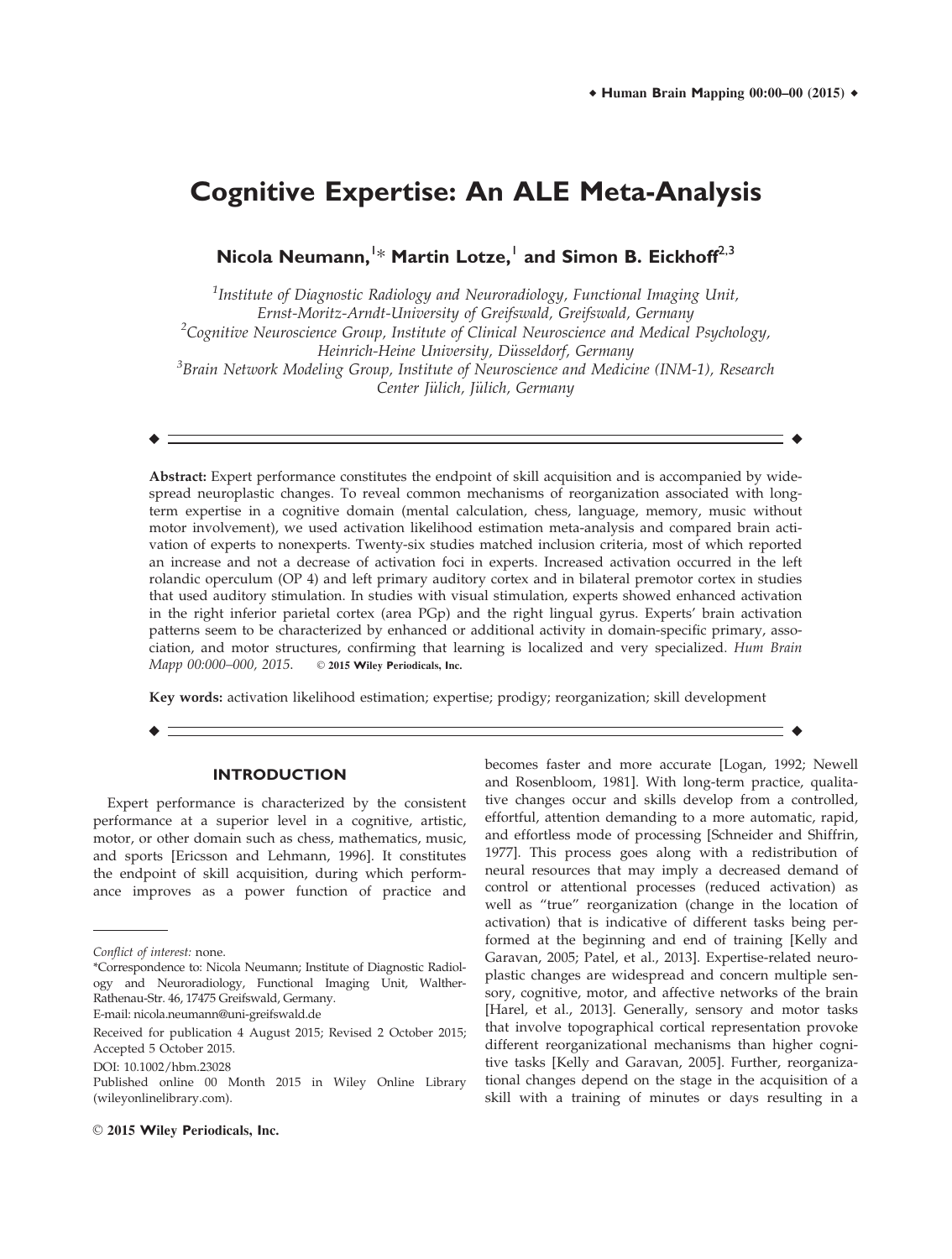# **Cognitive Expertise: An ALE Meta-Analysis**

 $\bm{\mathsf{Nicola}}$   $\bm{\mathsf{Neumann,}}^{!\ast}$   $\bm{\mathsf{Martin}}$   $\bm{\mathsf{Lotze,}}^{!}$  and  $\bm{\mathsf{Simon}}$   $\bm{\mathsf{B.}~Eickhoff}^{2,3}$ 

 $^1$ Institute of Diagnostic Radiology and Neuroradiology, Functional Imaging Unit, Ernst-Moritz-Arndt-University of Greifswald, Greifswald, Germany <sup>2</sup>Cognitive Neuroscience Group, Institute of Clinical Neuroscience and Medical Psychology, Heinrich-Heine University, Düsseldorf, Germany<br>Brain Network Modeling Group, Institute of Neuroscience and Medicine (INM-1), Research<sup>3</sup> Center Jülich, Jülich, Germany

r r

Abstract: Expert performance constitutes the endpoint of skill acquisition and is accompanied by widespread neuroplastic changes. To reveal common mechanisms of reorganization associated with longterm expertise in a cognitive domain (mental calculation, chess, language, memory, music without motor involvement), we used activation likelihood estimation meta-analysis and compared brain activation of experts to nonexperts. Twenty-six studies matched inclusion criteria, most of which reported an increase and not a decrease of activation foci in experts. Increased activation occurred in the left rolandic operculum (OP 4) and left primary auditory cortex and in bilateral premotor cortex in studies that used auditory stimulation. In studies with visual stimulation, experts showed enhanced activation in the right inferior parietal cortex (area PGp) and the right lingual gyrus. Experts' brain activation patterns seem to be characterized by enhanced or additional activity in domain-specific primary, association, and motor structures, confirming that learning is localized and very specialized. Hum Brain Mapp 00:000-000, 2015. © 2015 Wiley Periodicals, Inc.

Key words: activation likelihood estimation; expertise; prodigy; reorganization; skill development

r r

## **INTRODUCTION**

Expert performance is characterized by the consistent performance at a superior level in a cognitive, artistic, motor, or other domain such as chess, mathematics, music, and sports [Ericsson and Lehmann, 1996]. It constitutes the endpoint of skill acquisition, during which performance improves as a power function of practice and

and effortless mode of processing [Schneider and Shiffrin, 1977]. This process goes along with a redistribution of neural resources that may imply a decreased demand of control or attentional processes (reduced activation) as well as "true" reorganization (change in the location of activation) that is indicative of different tasks being performed at the beginning and end of training [Kelly and Garavan, 2005; Patel, et al., 2013]. Expertise-related neuroplastic changes are widespread and concern multiple sensory, cognitive, motor, and affective networks of the brain [Harel, et al., 2013]. Generally, sensory and motor tasks that involve topographical cortical representation provoke different reorganizational mechanisms than higher cognitive tasks [Kelly and Garavan, 2005]. Further, reorganizational changes depend on the stage in the acquisition of a skill with a training of minutes or days resulting in a

becomes faster and more accurate [Logan, 1992; Newell and Rosenbloom, 1981]. With long-term practice, qualitative changes occur and skills develop from a controlled, effortful, attention demanding to a more automatic, rapid,

 $\odot$  2015 Wiley Periodicals, Inc.

Conflict of interest: none.

<sup>\*</sup>Correspondence to: Nicola Neumann; Institute of Diagnostic Radiology and Neuroradiology, Functional Imaging Unit, Walther-Rathenau-Str. 46, 17475 Greifswald, Germany. E-mail: nicola.neumann@uni-greifswald.de

Received for publication 4 August 2015; Revised 2 October 2015; Accepted 5 October 2015.

DOI: 10.1002/hbm.23028

Published online 00 Month 2015 in Wiley Online Library (wileyonlinelibrary.com).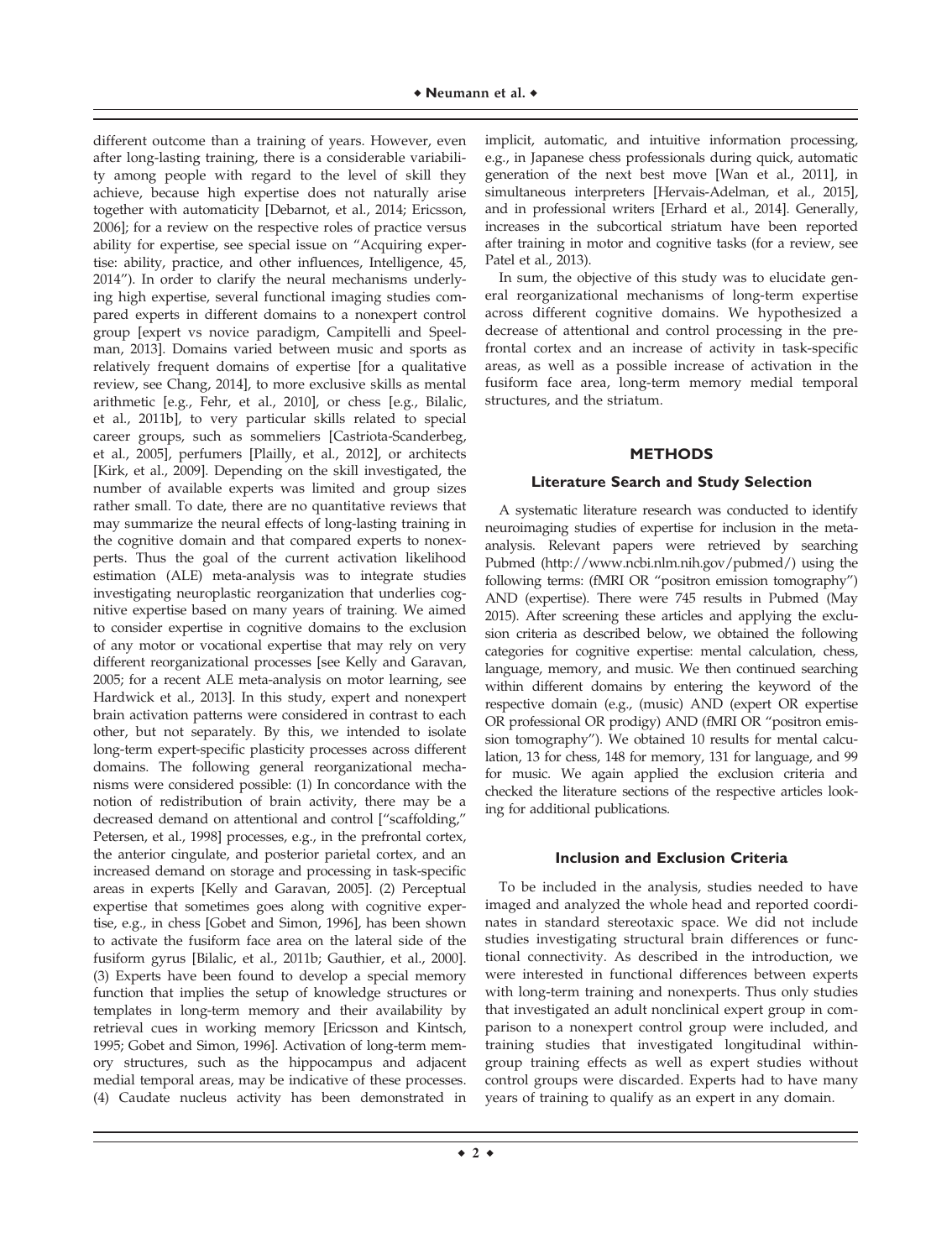different outcome than a training of years. However, even after long-lasting training, there is a considerable variability among people with regard to the level of skill they achieve, because high expertise does not naturally arise together with automaticity [Debarnot, et al., 2014; Ericsson, 2006]; for a review on the respective roles of practice versus ability for expertise, see special issue on "Acquiring expertise: ability, practice, and other influences, Intelligence, 45, 2014"). In order to clarify the neural mechanisms underlying high expertise, several functional imaging studies compared experts in different domains to a nonexpert control group [expert vs novice paradigm, Campitelli and Speelman, 2013]. Domains varied between music and sports as relatively frequent domains of expertise [for a qualitative review, see Chang, 2014], to more exclusive skills as mental arithmetic [e.g., Fehr, et al., 2010], or chess [e.g., Bilalic, et al., 2011b], to very particular skills related to special career groups, such as sommeliers [Castriota-Scanderbeg, et al., 2005], perfumers [Plailly, et al., 2012], or architects [Kirk, et al., 2009]. Depending on the skill investigated, the number of available experts was limited and group sizes rather small. To date, there are no quantitative reviews that may summarize the neural effects of long-lasting training in the cognitive domain and that compared experts to nonexperts. Thus the goal of the current activation likelihood estimation (ALE) meta-analysis was to integrate studies investigating neuroplastic reorganization that underlies cognitive expertise based on many years of training. We aimed to consider expertise in cognitive domains to the exclusion of any motor or vocational expertise that may rely on very different reorganizational processes [see Kelly and Garavan, 2005; for a recent ALE meta-analysis on motor learning, see Hardwick et al., 2013]. In this study, expert and nonexpert brain activation patterns were considered in contrast to each other, but not separately. By this, we intended to isolate long-term expert-specific plasticity processes across different domains. The following general reorganizational mechanisms were considered possible: (1) In concordance with the notion of redistribution of brain activity, there may be a decreased demand on attentional and control ["scaffolding," Petersen, et al., 1998] processes, e.g., in the prefrontal cortex, the anterior cingulate, and posterior parietal cortex, and an increased demand on storage and processing in task-specific areas in experts [Kelly and Garavan, 2005]. (2) Perceptual expertise that sometimes goes along with cognitive expertise, e.g., in chess [Gobet and Simon, 1996], has been shown to activate the fusiform face area on the lateral side of the fusiform gyrus [Bilalic, et al., 2011b; Gauthier, et al., 2000]. (3) Experts have been found to develop a special memory function that implies the setup of knowledge structures or templates in long-term memory and their availability by retrieval cues in working memory [Ericsson and Kintsch, 1995; Gobet and Simon, 1996]. Activation of long-term memory structures, such as the hippocampus and adjacent medial temporal areas, may be indicative of these processes. (4) Caudate nucleus activity has been demonstrated in

implicit, automatic, and intuitive information processing, e.g., in Japanese chess professionals during quick, automatic generation of the next best move [Wan et al., 2011], in simultaneous interpreters [Hervais-Adelman, et al., 2015], and in professional writers [Erhard et al., 2014]. Generally, increases in the subcortical striatum have been reported after training in motor and cognitive tasks (for a review, see Patel et al., 2013).

In sum, the objective of this study was to elucidate general reorganizational mechanisms of long-term expertise across different cognitive domains. We hypothesized a decrease of attentional and control processing in the prefrontal cortex and an increase of activity in task-specific areas, as well as a possible increase of activation in the fusiform face area, long-term memory medial temporal structures, and the striatum.

# **METHODS**

## **Literature Search and Study Selection**

A systematic literature research was conducted to identify neuroimaging studies of expertise for inclusion in the metaanalysis. Relevant papers were retrieved by searching Pubmed ([http://www.ncbi.nlm.nih.gov/pubmed/](http://www.ncbi.nlm.nih.gov/pubmed)) using the following terms: (fMRI OR "positron emission tomography") AND (expertise). There were 745 results in Pubmed (May 2015). After screening these articles and applying the exclusion criteria as described below, we obtained the following categories for cognitive expertise: mental calculation, chess, language, memory, and music. We then continued searching within different domains by entering the keyword of the respective domain (e.g., (music) AND (expert OR expertise OR professional OR prodigy) AND (fMRI OR "positron emission tomography"). We obtained 10 results for mental calculation, 13 for chess, 148 for memory, 131 for language, and 99 for music. We again applied the exclusion criteria and checked the literature sections of the respective articles looking for additional publications.

# **Inclusion and Exclusion Criteria**

To be included in the analysis, studies needed to have imaged and analyzed the whole head and reported coordinates in standard stereotaxic space. We did not include studies investigating structural brain differences or functional connectivity. As described in the introduction, we were interested in functional differences between experts with long-term training and nonexperts. Thus only studies that investigated an adult nonclinical expert group in comparison to a nonexpert control group were included, and training studies that investigated longitudinal withingroup training effects as well as expert studies without control groups were discarded. Experts had to have many years of training to qualify as an expert in any domain.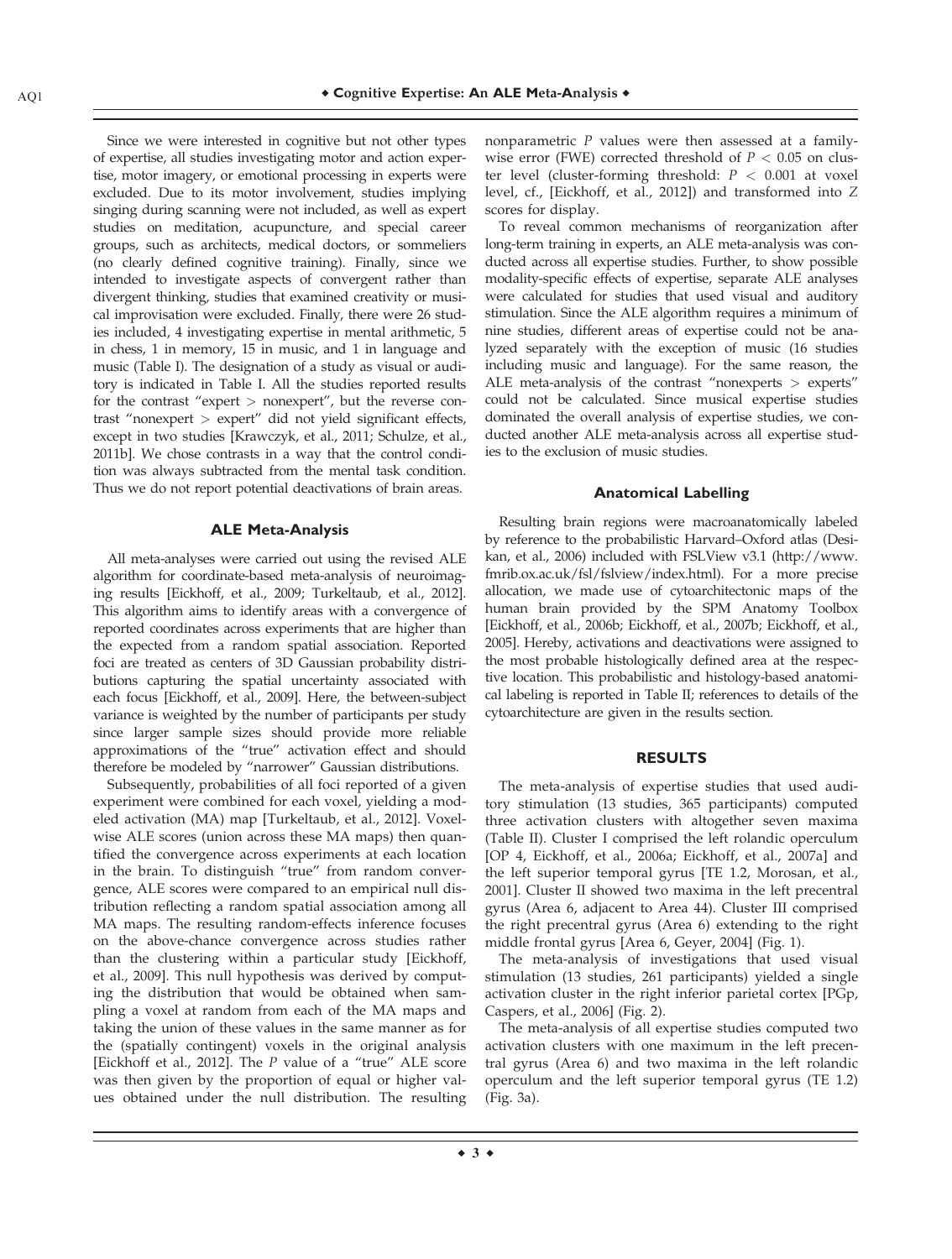Since we were interested in cognitive but not other types of expertise, all studies investigating motor and action expertise, motor imagery, or emotional processing in experts were excluded. Due to its motor involvement, studies implying singing during scanning were not included, as well as expert studies on meditation, acupuncture, and special career groups, such as architects, medical doctors, or sommeliers (no clearly defined cognitive training). Finally, since we intended to investigate aspects of convergent rather than divergent thinking, studies that examined creativity or musical improvisation were excluded. Finally, there were 26 studies included, 4 investigating expertise in mental arithmetic, 5 in chess, 1 in memory, 15 in music, and 1 in language and music (Table I). The designation of a study as visual or auditory is indicated in Table I. All the studies reported results for the contrast "expert > nonexpert", but the reverse contrast "nonexpert > expert" did not yield significant effects, except in two studies [Krawczyk, et al., 2011; Schulze, et al., 2011b]. We chose contrasts in a way that the control condition was always subtracted from the mental task condition. Thus we do not report potential deactivations of brain areas.

#### **ALE Meta-Analysis**

All meta-analyses were carried out using the revised ALE algorithm for coordinate-based meta-analysis of neuroimaging results [Eickhoff, et al., 2009; Turkeltaub, et al., 2012]. This algorithm aims to identify areas with a convergence of reported coordinates across experiments that are higher than the expected from a random spatial association. Reported foci are treated as centers of 3D Gaussian probability distributions capturing the spatial uncertainty associated with each focus [Eickhoff, et al., 2009]. Here, the between-subject variance is weighted by the number of participants per study since larger sample sizes should provide more reliable approximations of the "true" activation effect and should therefore be modeled by "narrower" Gaussian distributions.

Subsequently, probabilities of all foci reported of a given experiment were combined for each voxel, yielding a modeled activation (MA) map [Turkeltaub, et al., 2012]. Voxelwise ALE scores (union across these MA maps) then quantified the convergence across experiments at each location in the brain. To distinguish "true" from random convergence, ALE scores were compared to an empirical null distribution reflecting a random spatial association among all MA maps. The resulting random-effects inference focuses on the above-chance convergence across studies rather than the clustering within a particular study [Eickhoff, et al., 2009]. This null hypothesis was derived by computing the distribution that would be obtained when sampling a voxel at random from each of the MA maps and taking the union of these values in the same manner as for the (spatially contingent) voxels in the original analysis [Eickhoff et al., 2012]. The P value of a "true" ALE score was then given by the proportion of equal or higher values obtained under the null distribution. The resulting nonparametric P values were then assessed at a familywise error (FWE) corrected threshold of  $P < 0.05$  on cluster level (cluster-forming threshold:  $P < 0.001$  at voxel level, cf., [Eickhoff, et al., 2012]) and transformed into Z scores for display.

To reveal common mechanisms of reorganization after long-term training in experts, an ALE meta-analysis was conducted across all expertise studies. Further, to show possible modality-specific effects of expertise, separate ALE analyses were calculated for studies that used visual and auditory stimulation. Since the ALE algorithm requires a minimum of nine studies, different areas of expertise could not be analyzed separately with the exception of music (16 studies including music and language). For the same reason, the ALE meta-analysis of the contrast "nonexperts > experts" could not be calculated. Since musical expertise studies dominated the overall analysis of expertise studies, we conducted another ALE meta-analysis across all expertise studies to the exclusion of music studies.

#### **Anatomical Labelling**

Resulting brain regions were macroanatomically labeled by reference to the probabilistic Harvard–Oxford atlas (Desikan, et al., 2006) included with FSLView v3.1 [\(http://www.](http://www.fmrib.ox.ac.uk/fsl/fslview/index.html) [fmrib.ox.ac.uk/fsl/fslview/index.html\)](http://www.fmrib.ox.ac.uk/fsl/fslview/index.html). For a more precise allocation, we made use of cytoarchitectonic maps of the human brain provided by the SPM Anatomy Toolbox [Eickhoff, et al., 2006b; Eickhoff, et al., 2007b; Eickhoff, et al., 2005]. Hereby, activations and deactivations were assigned to the most probable histologically defined area at the respective location. This probabilistic and histology-based anatomical labeling is reported in Table II; references to details of the cytoarchitecture are given in the results section.

#### **RESULTS**

The meta-analysis of expertise studies that used auditory stimulation (13 studies, 365 participants) computed three activation clusters with altogether seven maxima (Table II). Cluster I comprised the left rolandic operculum [OP 4, Eickhoff, et al., 2006a; Eickhoff, et al., 2007a] and the left superior temporal gyrus [TE 1.2, Morosan, et al., 2001]. Cluster II showed two maxima in the left precentral gyrus (Area 6, adjacent to Area 44). Cluster III comprised the right precentral gyrus (Area 6) extending to the right middle frontal gyrus [Area 6, Geyer, 2004] (Fig. 1).

The meta-analysis of investigations that used visual stimulation (13 studies, 261 participants) yielded a single activation cluster in the right inferior parietal cortex [PGp, Caspers, et al., 2006] (Fig. 2).

The meta-analysis of all expertise studies computed two activation clusters with one maximum in the left precentral gyrus (Area 6) and two maxima in the left rolandic operculum and the left superior temporal gyrus (TE 1.2) (Fig. 3a).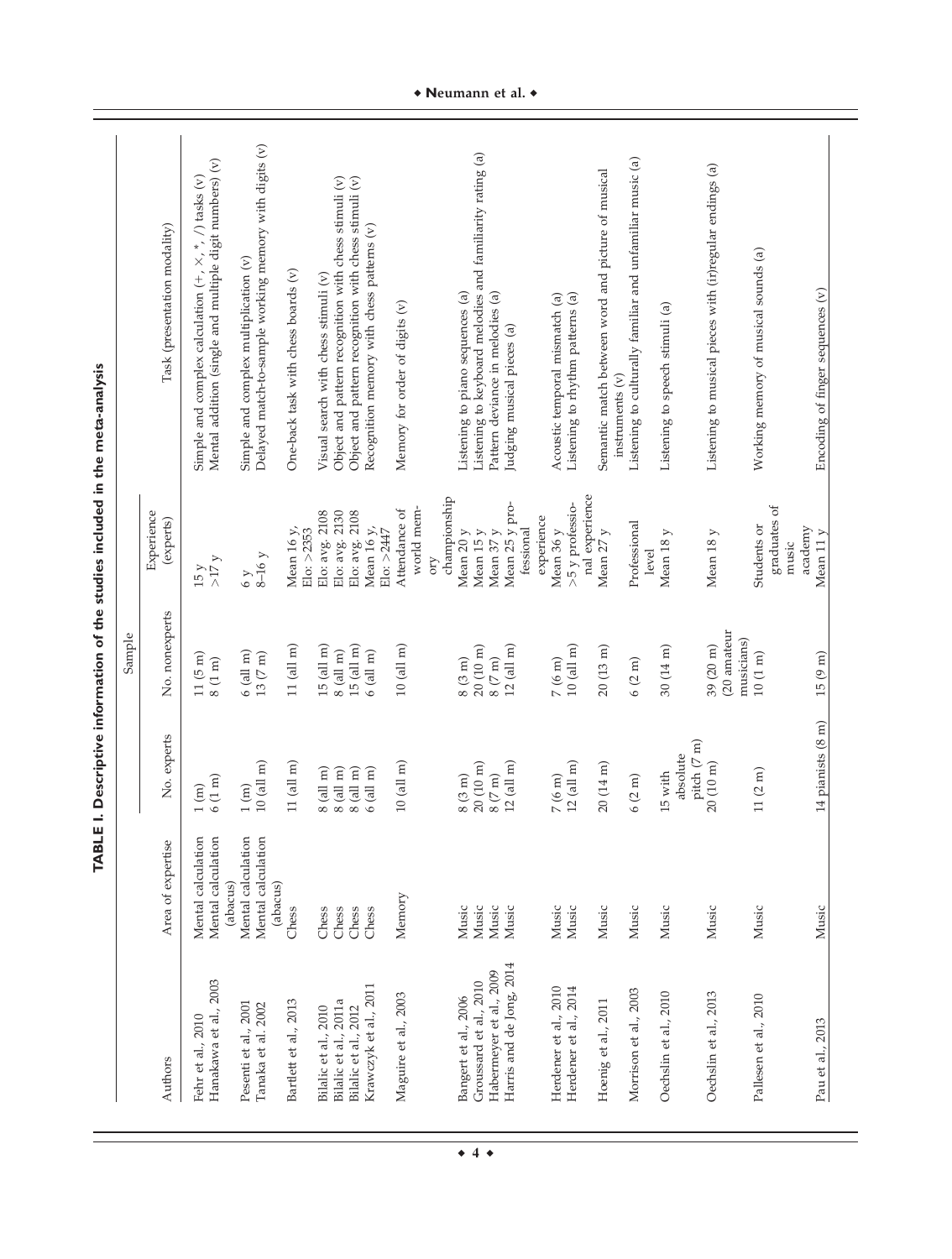|                                                     |                                                      |                                        | Sample                                     |                                            |                                                                                                                           |
|-----------------------------------------------------|------------------------------------------------------|----------------------------------------|--------------------------------------------|--------------------------------------------|---------------------------------------------------------------------------------------------------------------------------|
| Authors                                             | Area of expertise                                    | No. experts                            | No. nonexperts                             | Experience<br>(experts)                    | Task (presentation modality)                                                                                              |
| Hanakawa et al., 2003<br>Fehr et al., 2010          | Mental calculation<br>Mental calculation<br>(abacus) | $6(1 \text{ m})$<br>$\binom{m}{n}$     | $11(5 \text{ m})$<br>$8(1 \text{ m})$      | $15 y$<br>> $17 y$                         | Mental addition (single and multiple digit numbers) (v)<br>Simple and complex calculation $(+, \times, *, /)$ tasks $(v)$ |
| Pesenti et al., 2001<br>Tanaka et al. 2002          | Mental calculation<br>Mental calculation<br>(abacus) | $($ all m $)$<br>1(m)                  | $6$ (all m)<br>$13(7 \text{ m})$           | $8-16y$<br>6y                              | Delayed match-to-sample working memory with digits (v)<br>Simple and complex multiplication (v)                           |
| Bartlett et al., 2013                               | Chess                                                | $11$ (all m)                           | $11$ (all m)                               | Mean 16 $y$ ,                              | One-back task with chess boards (v)                                                                                       |
| Bilalic et al., 2010                                | Chess                                                | $8$ (all m)                            | $15$ (all m)                               | Elo: avg. 2108<br>$E$ lo: $>2353$          | Visual search with chess stimuli (v)                                                                                      |
| Bilalic et al., 2011a                               | Chess<br>Chess                                       | $3$ (all m)<br>$8$ (all m)             | $8$ (all m)                                | Elo: avg. 2130                             | Object and pattern recognition with chess stimuli (v)                                                                     |
| Krawczyk et al., 2011<br>Bilalic et al., 2012       | Chess                                                | $5$ (all $m$ )                         | $15$ (all m)<br>$6$ (all m)                | Elo: avg. 2108<br>Mean 16 y,<br>Elo: >2447 | Object and pattern recognition with chess stimuli (v)<br>Recognition memory with chess patterns (v)                       |
| Maguire et al., 2003                                | Memory                                               | $10$ (all m)                           | $10$ (all m)                               | Attendance of                              | Memory for order of digits (v)                                                                                            |
|                                                     |                                                      |                                        |                                            | championship<br>world mem-<br>OTY          |                                                                                                                           |
| Bangert et al., 2006                                | Music                                                | $8(3 \text{ m})$                       | $8(3 \text{ m})$                           | Mean 20 $\ensuremath{y}$                   | Listening to piano sequences (a)                                                                                          |
| Groussard et al., 2010                              | Music<br>Music                                       | $20(10 \text{ m})$<br>$8(7 \text{ m})$ | $20(10 \text{ m})$<br>$8\ (7\ \mathrm{m})$ | Mean 15 y<br>Mean 37 y<br>Mean 25 y pro-   | Listening to keyboard melodies and familiarity rating (a)                                                                 |
| Harris and de Jong, 2014<br>Habermeyer et al., 2009 | Music                                                | $(2 \text{ (all m)})$                  | $12~(\mathrm{all~m})$                      |                                            | Pattern deviance in melodies (a)<br>Judging musical pieces (a)                                                            |
|                                                     |                                                      |                                        |                                            | fessional                                  |                                                                                                                           |
| Herdener et al., 2010                               | Music                                                | $7(6 \text{ m})$                       | $7(6 \text{ m})$                           | experience<br>Mean 36 y                    | Acoustic temporal mismatch (a)                                                                                            |
| Herdener et al., 2014                               | Music                                                | $(2 \text{ (all m)})$                  | $10$ (all m)                               | >5 y professio-                            | Listening to rhythm patterns (a)                                                                                          |
|                                                     |                                                      |                                        |                                            | nal experience                             |                                                                                                                           |
| Hoenig et al., 2011                                 | Music                                                | $20(14 \text{ m})$                     | $20(13 \text{ m})$                         | Mean 27 y                                  | Semantic match between word and picture of musical<br>$in$ struments $(v)$                                                |
| Morrison et al., 2003                               | Music                                                | $6(2 \text{ m})$                       | $6(2 \text{ m})$                           | Professional<br>level                      | Listening to culturally familiar and unfamiliar music (a)                                                                 |
| Oechslin et al., 2010                               | Music                                                | absolute<br>15 with                    | $30(14 \text{ m})$                         | Mean 18 y                                  | Listening to speech stimuli (a)                                                                                           |
| Oechslin et al., 2013                               | Music                                                | pitch (7 m)<br>20 (10 m)               | (20 amateur<br>39 (20 m)                   | Mean $18y$                                 | Listening to musical pieces with (ir)regular endings (a)                                                                  |
| Pallesen et al., 2010                               | Music                                                | (1 (2 m))                              | musicians)<br>$10(1 \text{ m})$            | graduates of<br>Students or<br>music       | Working memory of musical sounds (a)                                                                                      |
| Pau et al., 2013                                    | Music                                                | 14 pianists (8 m)                      | 15(9 m)                                    | academy<br>Mean 11 y                       | Encoding of finger sequences (v)                                                                                          |

• Neumann et al. •

 $\bullet$  4  $\bullet$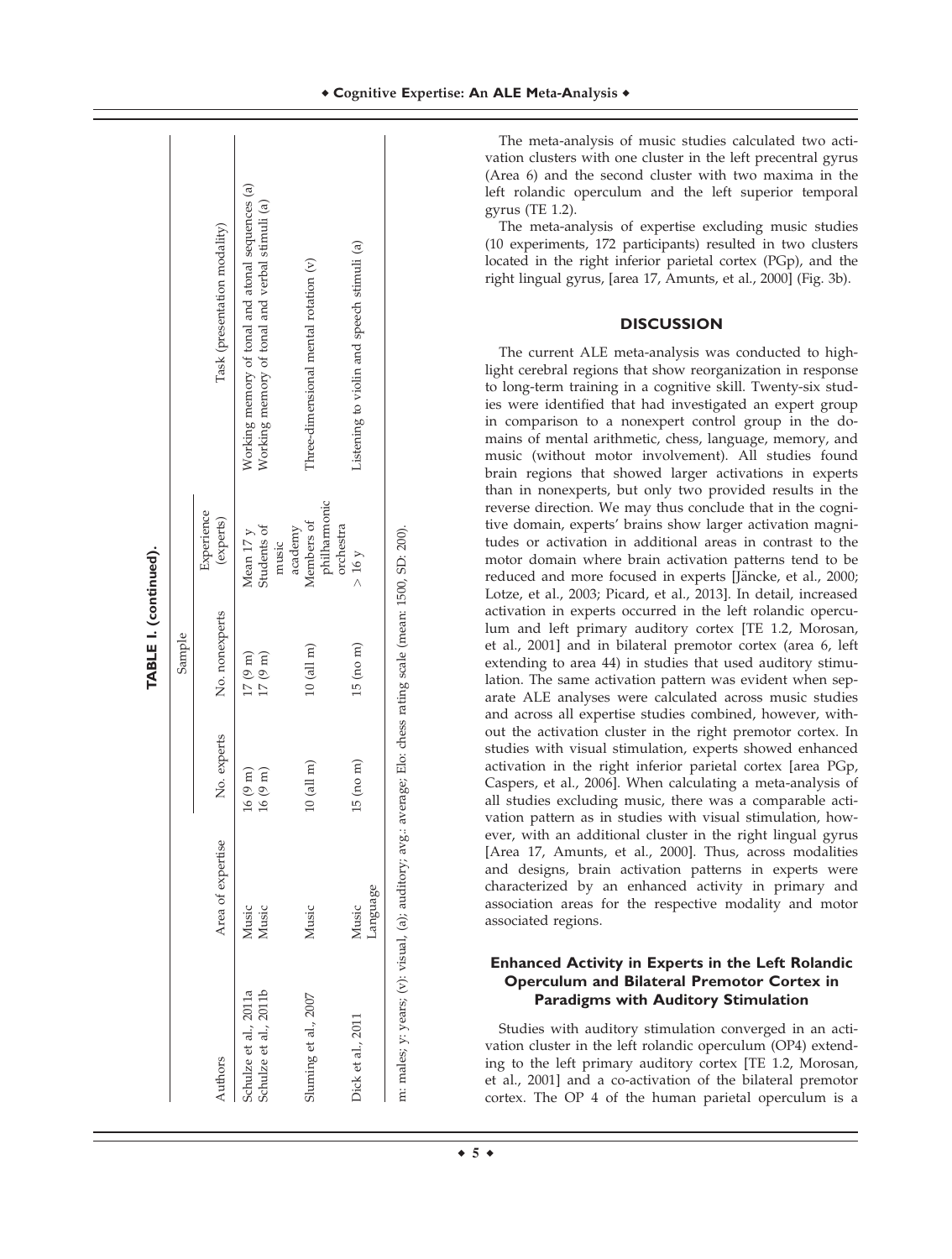|                                                       |                   |                                                         | TABLE I. (continued).                 |                                       |                                                                                                    |
|-------------------------------------------------------|-------------------|---------------------------------------------------------|---------------------------------------|---------------------------------------|----------------------------------------------------------------------------------------------------|
|                                                       |                   |                                                         | Sample                                |                                       |                                                                                                    |
| Authors                                               | Area of expertise | No. experts                                             | No. nonexperts                        | Experience<br>(experts)               | Task (presentation modality)                                                                       |
| Schulze et al., 2011a<br>Schulze et al., 2011b        | Music<br>Music    | $16(9 \text{ m})$<br>$16(9 \text{ m})$                  | $17~(9~{\rm m})$<br>$17(9 \text{ m})$ | Students of<br>Mean 17 y<br>music     | Working memory of tonal and atonal sequences (a)<br>Working memory of tonal and verbal stimuli (a) |
| Sluming et al., 2007                                  | Music             | $10$ (all m)                                            | $10$ (all m)                          | philharmonic<br>Members of<br>academy | Three-dimensional mental rotation (v)                                                              |
| Dick et al., 2011                                     | Language<br>Music | $15$ (no m)                                             | $15$ (no m)                           | orchestra<br>$> 16$ Y                 | Listening to violin and speech stimuli (a)                                                         |
| m: males; y: years; (v): visual, (a); auditory; avg.: |                   | average; Elo: chess rating scale (mean: 1500, SD: 200). |                                       |                                       |                                                                                                    |

The meta-analysis of music studies calculated two activation clusters with one cluster in the left precentral gyrus (Area 6) and the second cluster with two maxima in the left rolandic operculum and the left superior temporal gyrus (TE 1.2).

The meta-analysis of expertise excluding music studies (10 experiments, 172 participants) resulted in two clusters located in the right inferior parietal cortex (PGp), and the right lingual gyrus, [area 17, Amunts, et al., 2000] (Fig. 3b).

## **DISCUSSION**

The current ALE meta-analysis was conducted to highlight cerebral regions that show reorganization in response to long-term training in a cognitive skill. Twenty-six studies were identified that had investigated an expert group in comparison to a nonexpert control group in the domains of mental arithmetic, chess, language, memory, and music (without motor involvement). All studies found brain regions that showed larger activations in experts than in nonexperts, but only two provided results in the reverse direction. We may thus conclude that in the cognitive domain, experts' brains show larger activation magnitudes or activation in additional areas in contrast to the motor domain where brain activation patterns tend to be reduced and more focused in experts [Jäncke, et al., 2000; Lotze, et al., 2003; Picard, et al., 2013]. In detail, increased activation in experts occurred in the left rolandic operculum and left primary auditory cortex [TE 1.2, Morosan, et al., 2001] and in bilateral premotor cortex (area 6, left extending to area 44) in studies that used auditory stimulation. The same activation pattern was evident when separate ALE analyses were calculated across music studies and across all expertise studies combined, however, without the activation cluster in the right premotor cortex. In studies with visual stimulation, experts showed enhanced activation in the right inferior parietal cortex [area PGp, Caspers, et al., 2006]. When calculating a meta-analysis of all studies excluding music, there was a comparable activation pattern as in studies with visual stimulation, however, with an additional cluster in the right lingual gyrus [Area 17, Amunts, et al., 2000]. Thus, across modalities and designs, brain activation patterns in experts were characterized by an enhanced activity in primary and association areas for the respective modality and motor associated regions.

## **Enhanced Activity in Experts in the Left Rolandic Operculum and Bilateral Premotor Cortex in Paradigms with Auditory Stimulation**

Studies with auditory stimulation converged in an activation cluster in the left rolandic operculum (OP4) extending to the left primary auditory cortex [TE 1.2, Morosan, et al., 2001] and a co-activation of the bilateral premotor cortex. The OP 4 of the human parietal operculum is a

 $\div$  5  $\div$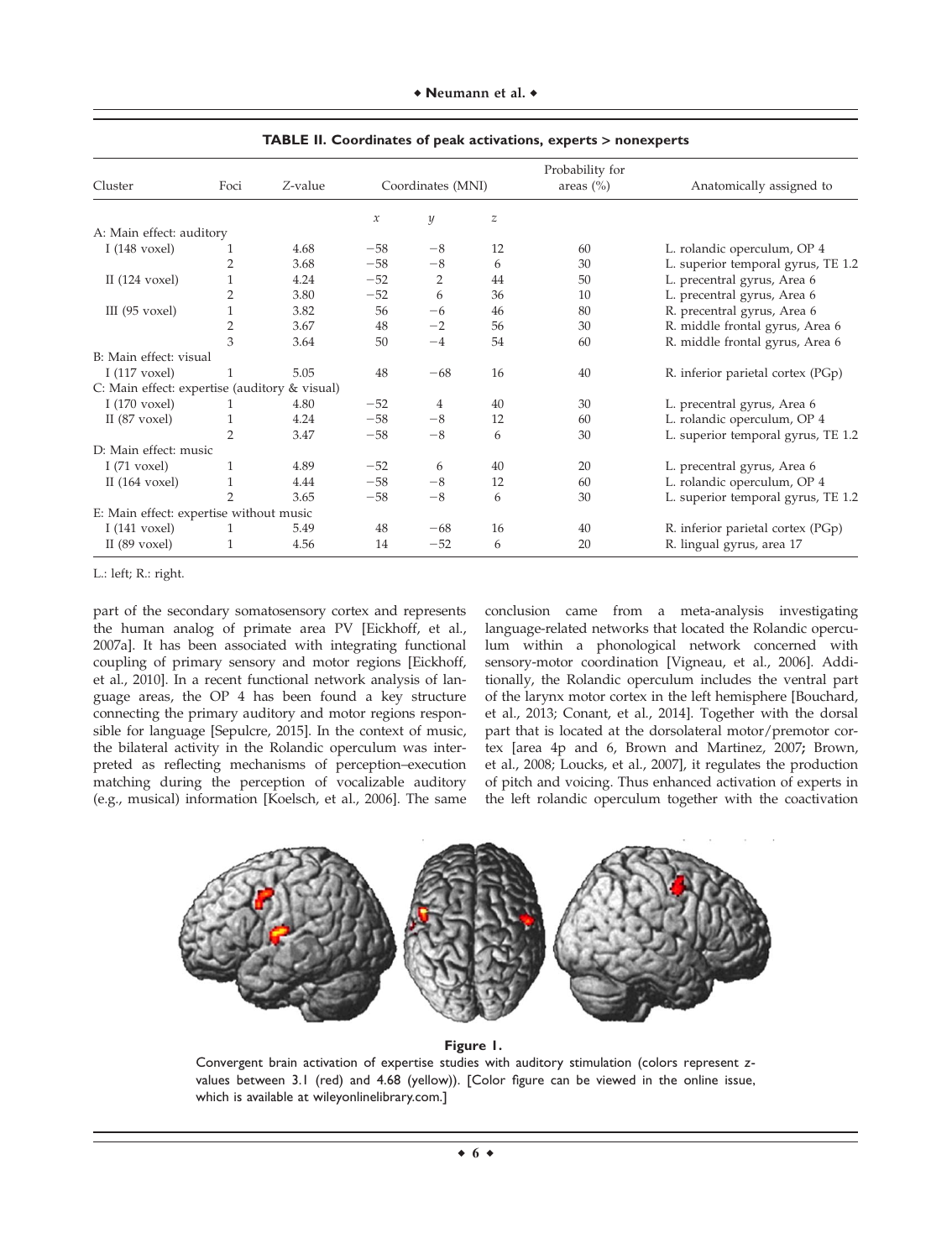| Cluster                                       | Foci           | Z-value |                            | Coordinates (MNI) |                  | Probability for<br>areas $(\% )$ | Anatomically assigned to           |
|-----------------------------------------------|----------------|---------|----------------------------|-------------------|------------------|----------------------------------|------------------------------------|
|                                               |                |         | $\boldsymbol{\mathcal{X}}$ | y                 | $\boldsymbol{z}$ |                                  |                                    |
| A: Main effect: auditory                      |                |         |                            |                   |                  |                                  |                                    |
| I $(148 \text{ voxel})$                       |                | 4.68    | $-58$                      | $-8$              | 12               | 60                               | L. rolandic operculum, OP 4        |
|                                               | $\overline{2}$ | 3.68    | $-58$                      | $-8$              | 6                | 30                               | L. superior temporal gyrus, TE 1.2 |
| II $(124 \text{ voxel})$                      |                | 4.24    | $-52$                      | 2                 | 44               | 50                               | L. precentral gyrus, Area 6        |
|                                               | $\overline{2}$ | 3.80    | $-52$                      | 6                 | 36               | 10                               | L. precentral gyrus, Area 6        |
| III $(95 \text{ voxel})$                      |                | 3.82    | 56                         | $-6$              | 46               | 80                               | R. precentral gyrus, Area 6        |
|                                               | $\overline{2}$ | 3.67    | 48                         | $-2$              | 56               | 30                               | R. middle frontal gyrus, Area 6    |
|                                               | 3              | 3.64    | 50                         | $-4$              | 54               | 60                               | R. middle frontal gyrus, Area 6    |
| B: Main effect: visual                        |                |         |                            |                   |                  |                                  |                                    |
| I $(117 \text{ voxel})$                       |                | 5.05    | 48                         | $-68$             | 16               | 40                               | R. inferior parietal cortex (PGp)  |
| C: Main effect: expertise (auditory & visual) |                |         |                            |                   |                  |                                  |                                    |
| I $(170 \text{ voxel})$                       | 1              | 4.80    | $-52$                      | 4                 | 40               | 30                               | L. precentral gyrus, Area 6        |
| II $(87 \text{ voxel})$                       |                | 4.24    | $-58$                      | $-8$              | 12               | 60                               | L. rolandic operculum, OP 4        |
|                                               | $\overline{2}$ | 3.47    | $-58$                      | $-8$              | 6                | 30                               | L. superior temporal gyrus, TE 1.2 |
| D: Main effect: music                         |                |         |                            |                   |                  |                                  |                                    |
| I $(71 \text{ voxel})$                        | 1              | 4.89    | $-52$                      | 6                 | 40               | 20                               | L. precentral gyrus, Area 6        |
| II $(164 \text{ voxel})$                      | 1              | 4.44    | $-58$                      | $-8$              | 12               | 60                               | L. rolandic operculum, OP 4        |
|                                               | $\mathfrak{D}$ | 3.65    | $-58$                      | $-8$              | 6                | 30                               | L. superior temporal gyrus, TE 1.2 |
| E: Main effect: expertise without music       |                |         |                            |                   |                  |                                  |                                    |
| I $(141 \text{ voxel})$                       | 1              | 5.49    | 48                         | $-68$             | 16               | 40                               | R. inferior parietal cortex (PGp)  |
| II $(89 \text{ voxel})$                       | 1              | 4.56    | 14                         | $-52$             | 6                | 20                               | R. lingual gyrus, area 17          |

**TABLE II. Coordinates of peak activations, experts** > **nonexperts**

L.: left; R.: right.

part of the secondary somatosensory cortex and represents the human analog of primate area PV [Eickhoff, et al., 2007a]. It has been associated with integrating functional coupling of primary sensory and motor regions [Eickhoff, et al., 2010]. In a recent functional network analysis of language areas, the OP 4 has been found a key structure connecting the primary auditory and motor regions responsible for language [Sepulcre, 2015]. In the context of music, the bilateral activity in the Rolandic operculum was interpreted as reflecting mechanisms of perception–execution matching during the perception of vocalizable auditory (e.g., musical) information [Koelsch, et al., 2006]. The same conclusion came from a meta-analysis investigating language-related networks that located the Rolandic operculum within a phonological network concerned with sensory-motor coordination [Vigneau, et al., 2006]. Additionally, the Rolandic operculum includes the ventral part of the larynx motor cortex in the left hemisphere [Bouchard, et al., 2013; Conant, et al., 2014]. Together with the dorsal part that is located at the dorsolateral motor/premotor cortex [area 4p and 6, Brown and Martinez, 2007; Brown, et al., 2008; Loucks, et al., 2007], it regulates the production of pitch and voicing. Thus enhanced activation of experts in the left rolandic operculum together with the coactivation



#### **Figure 1.**

Convergent brain activation of expertise studies with auditory stimulation (colors represent *z*values between 3.1 (red) and 4.68 (yellow)). [Color figure can be viewed in the online issue, which is available at [wileyonlinelibrary.com.](http://wileyonlinelibrary.com)]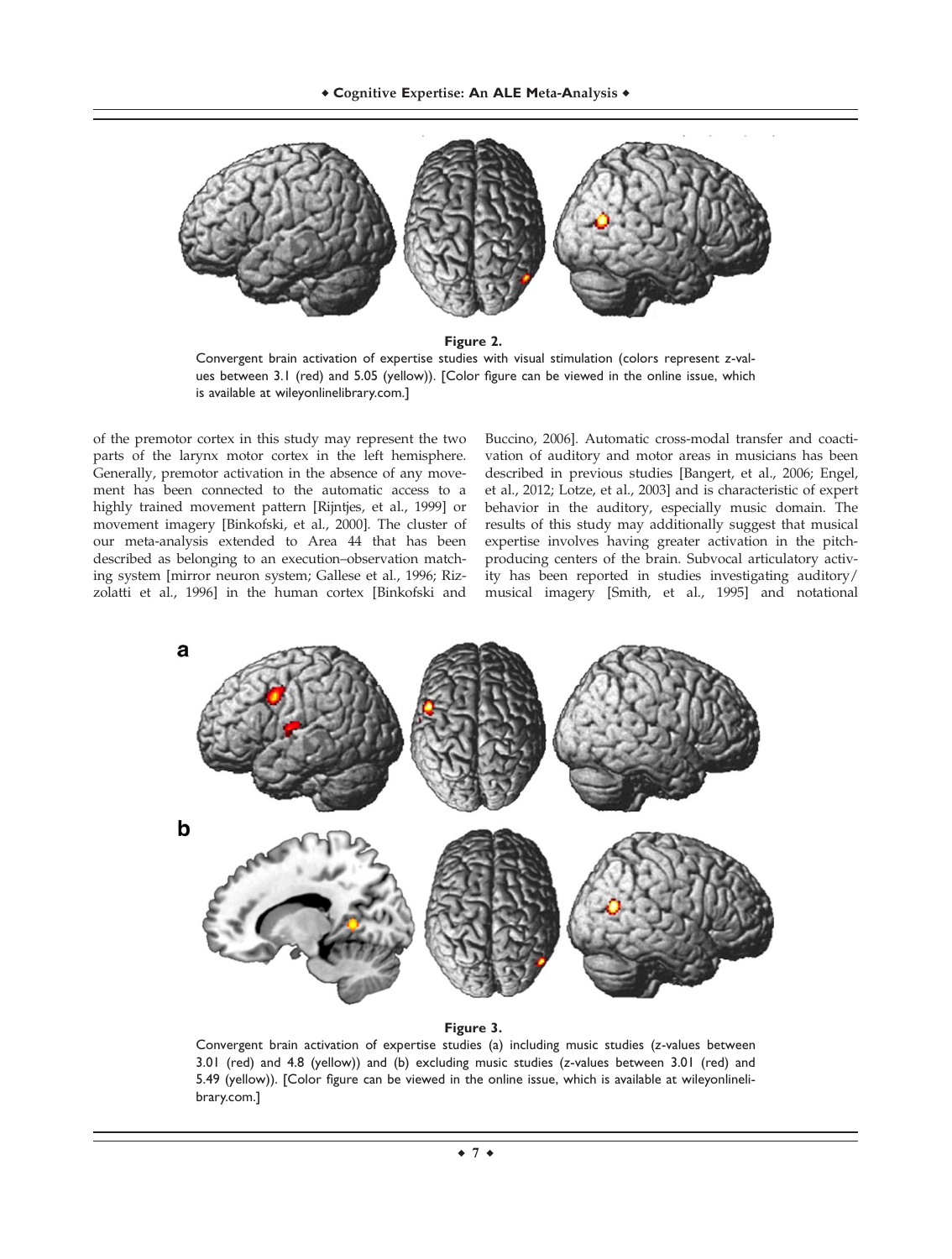

**Figure 2.**

Convergent brain activation of expertise studies with visual stimulation (colors represent *z*-values between 3.1 (red) and 5.05 (yellow)). [Color figure can be viewed in the online issue, which is available at [wileyonlinelibrary.com](http://wileyonlinelibrary.com).]

of the premotor cortex in this study may represent the two parts of the larynx motor cortex in the left hemisphere. Generally, premotor activation in the absence of any movement has been connected to the automatic access to a highly trained movement pattern [Rijntjes, et al., 1999] or movement imagery [Binkofski, et al., 2000]. The cluster of our meta-analysis extended to Area 44 that has been described as belonging to an execution–observation matching system [mirror neuron system; Gallese et al., 1996; Rizzolatti et al., 1996] in the human cortex [Binkofski and

Buccino, 2006]. Automatic cross-modal transfer and coactivation of auditory and motor areas in musicians has been described in previous studies [Bangert, et al., 2006; Engel, et al., 2012; Lotze, et al., 2003] and is characteristic of expert behavior in the auditory, especially music domain. The results of this study may additionally suggest that musical expertise involves having greater activation in the pitchproducing centers of the brain. Subvocal articulatory activity has been reported in studies investigating auditory/ musical imagery [Smith, et al., 1995] and notational



#### **Figure 3.**

Convergent brain activation of expertise studies (a) including music studies (*z*-values between 3.01 (red) and 4.8 (yellow)) and (b) excluding music studies (*z*-values between 3.01 (red) and 5.49 (yellow)). [Color figure can be viewed in the online issue, which is available at [wileyonlineli](http://wileyonlinelibrary.com)[brary.com.](http://wileyonlinelibrary.com)]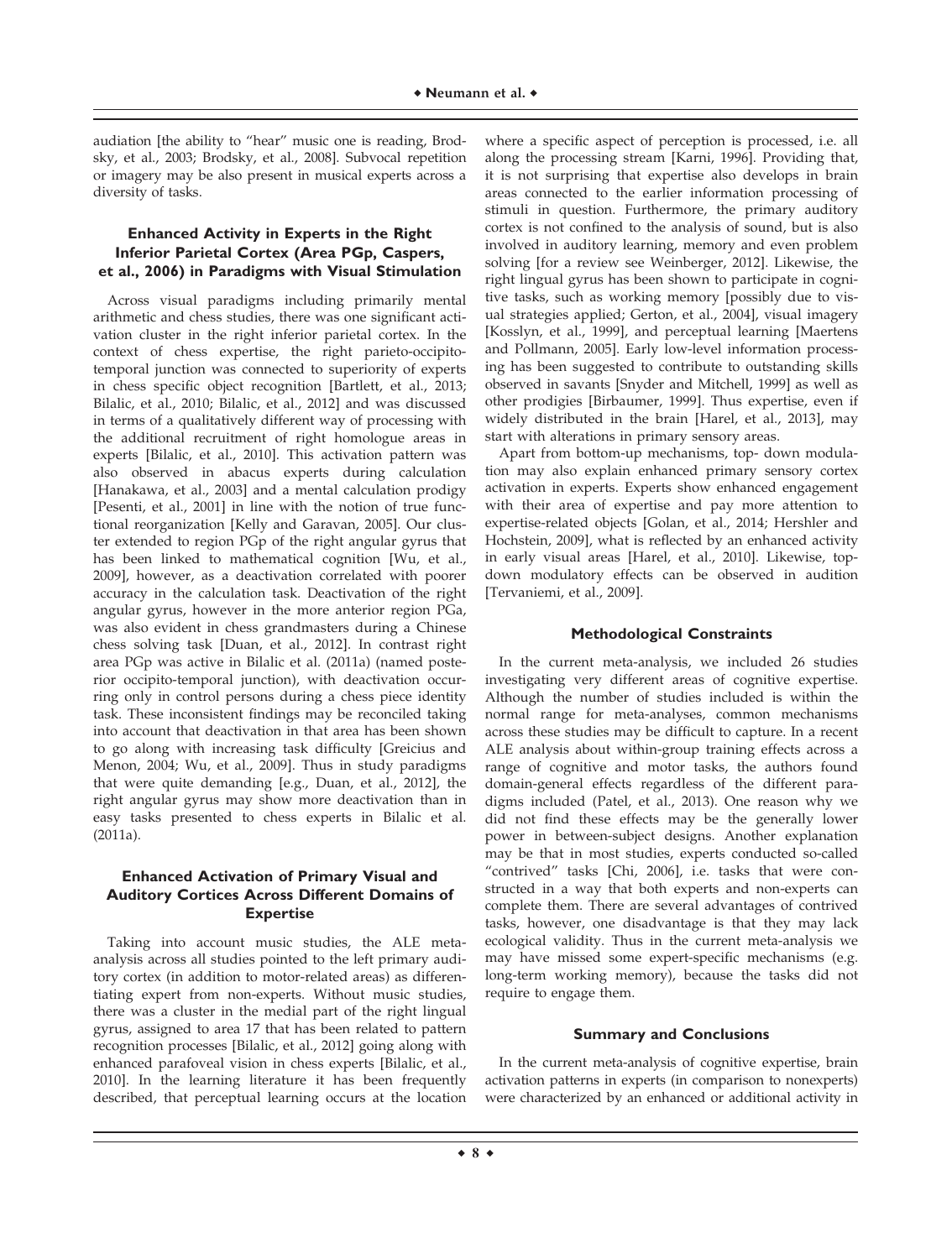audiation [the ability to "hear" music one is reading, Brodsky, et al., 2003; Brodsky, et al., 2008]. Subvocal repetition or imagery may be also present in musical experts across a diversity of tasks.

# **Enhanced Activity in Experts in the Right Inferior Parietal Cortex (Area PGp, Caspers, et al., 2006) in Paradigms with Visual Stimulation**

Across visual paradigms including primarily mental arithmetic and chess studies, there was one significant activation cluster in the right inferior parietal cortex. In the context of chess expertise, the right parieto-occipitotemporal junction was connected to superiority of experts in chess specific object recognition [Bartlett, et al., 2013; Bilalic, et al., 2010; Bilalic, et al., 2012] and was discussed in terms of a qualitatively different way of processing with the additional recruitment of right homologue areas in experts [Bilalic, et al., 2010]. This activation pattern was also observed in abacus experts during calculation [Hanakawa, et al., 2003] and a mental calculation prodigy [Pesenti, et al., 2001] in line with the notion of true functional reorganization [Kelly and Garavan, 2005]. Our cluster extended to region PGp of the right angular gyrus that has been linked to mathematical cognition [Wu, et al., 2009], however, as a deactivation correlated with poorer accuracy in the calculation task. Deactivation of the right angular gyrus, however in the more anterior region PGa, was also evident in chess grandmasters during a Chinese chess solving task [Duan, et al., 2012]. In contrast right area PGp was active in Bilalic et al. (2011a) (named posterior occipito-temporal junction), with deactivation occurring only in control persons during a chess piece identity task. These inconsistent findings may be reconciled taking into account that deactivation in that area has been shown to go along with increasing task difficulty [Greicius and Menon, 2004; Wu, et al., 2009]. Thus in study paradigms that were quite demanding [e.g., Duan, et al., 2012], the right angular gyrus may show more deactivation than in easy tasks presented to chess experts in Bilalic et al. (2011a).

# **Enhanced Activation of Primary Visual and Auditory Cortices Across Different Domains of Expertise**

Taking into account music studies, the ALE metaanalysis across all studies pointed to the left primary auditory cortex (in addition to motor-related areas) as differentiating expert from non-experts. Without music studies, there was a cluster in the medial part of the right lingual gyrus, assigned to area 17 that has been related to pattern recognition processes [Bilalic, et al., 2012] going along with enhanced parafoveal vision in chess experts [Bilalic, et al., 2010]. In the learning literature it has been frequently described, that perceptual learning occurs at the location where a specific aspect of perception is processed, i.e. all along the processing stream [Karni, 1996]. Providing that, it is not surprising that expertise also develops in brain areas connected to the earlier information processing of stimuli in question. Furthermore, the primary auditory cortex is not confined to the analysis of sound, but is also involved in auditory learning, memory and even problem solving [for a review see Weinberger, 2012]. Likewise, the right lingual gyrus has been shown to participate in cognitive tasks, such as working memory [possibly due to visual strategies applied; Gerton, et al., 2004], visual imagery [Kosslyn, et al., 1999], and perceptual learning [Maertens and Pollmann, 2005]. Early low-level information processing has been suggested to contribute to outstanding skills observed in savants [Snyder and Mitchell, 1999] as well as other prodigies [Birbaumer, 1999]. Thus expertise, even if widely distributed in the brain [Harel, et al., 2013], may start with alterations in primary sensory areas.

Apart from bottom-up mechanisms, top- down modulation may also explain enhanced primary sensory cortex activation in experts. Experts show enhanced engagement with their area of expertise and pay more attention to expertise-related objects [Golan, et al., 2014; Hershler and Hochstein, 2009], what is reflected by an enhanced activity in early visual areas [Harel, et al., 2010]. Likewise, topdown modulatory effects can be observed in audition [Tervaniemi, et al., 2009].

### **Methodological Constraints**

In the current meta-analysis, we included 26 studies investigating very different areas of cognitive expertise. Although the number of studies included is within the normal range for meta-analyses, common mechanisms across these studies may be difficult to capture. In a recent ALE analysis about within-group training effects across a range of cognitive and motor tasks, the authors found domain-general effects regardless of the different paradigms included (Patel, et al., 2013). One reason why we did not find these effects may be the generally lower power in between-subject designs. Another explanation may be that in most studies, experts conducted so-called "contrived" tasks [Chi, 2006], i.e. tasks that were constructed in a way that both experts and non-experts can complete them. There are several advantages of contrived tasks, however, one disadvantage is that they may lack ecological validity. Thus in the current meta-analysis we may have missed some expert-specific mechanisms (e.g. long-term working memory), because the tasks did not require to engage them.

#### **Summary and Conclusions**

In the current meta-analysis of cognitive expertise, brain activation patterns in experts (in comparison to nonexperts) were characterized by an enhanced or additional activity in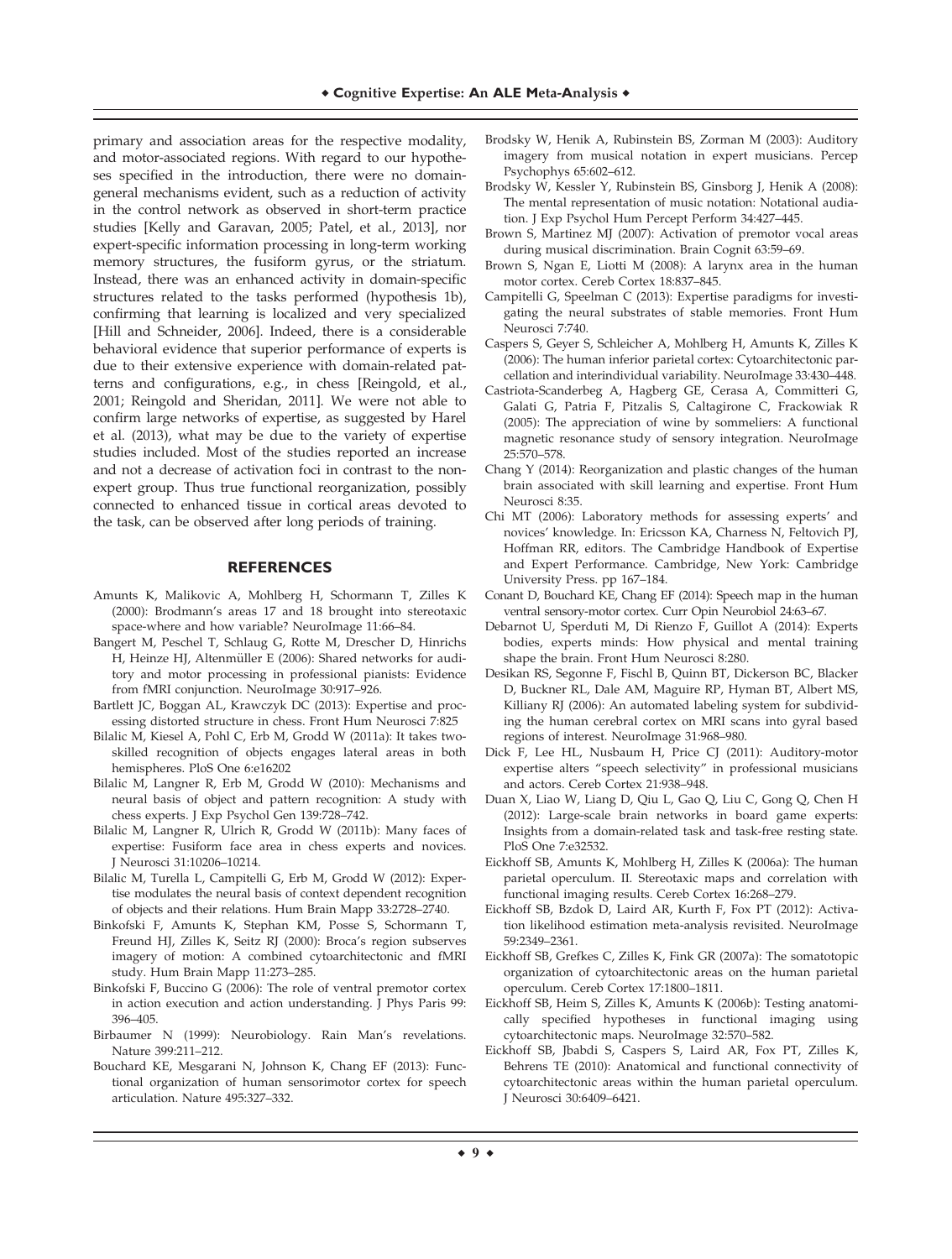primary and association areas for the respective modality, and motor-associated regions. With regard to our hypotheses specified in the introduction, there were no domaingeneral mechanisms evident, such as a reduction of activity in the control network as observed in short-term practice studies [Kelly and Garavan, 2005; Patel, et al., 2013], nor expert-specific information processing in long-term working memory structures, the fusiform gyrus, or the striatum. Instead, there was an enhanced activity in domain-specific structures related to the tasks performed (hypothesis 1b), confirming that learning is localized and very specialized [Hill and Schneider, 2006]. Indeed, there is a considerable behavioral evidence that superior performance of experts is due to their extensive experience with domain-related patterns and configurations, e.g., in chess [Reingold, et al., 2001; Reingold and Sheridan, 2011]. We were not able to confirm large networks of expertise, as suggested by Harel et al. (2013), what may be due to the variety of expertise studies included. Most of the studies reported an increase and not a decrease of activation foci in contrast to the nonexpert group. Thus true functional reorganization, possibly connected to enhanced tissue in cortical areas devoted to the task, can be observed after long periods of training.

#### **REFERENCES**

- Amunts K, Malikovic A, Mohlberg H, Schormann T, Zilles K (2000): Brodmann's areas 17 and 18 brought into stereotaxic space-where and how variable? NeuroImage 11:66–84.
- Bangert M, Peschel T, Schlaug G, Rotte M, Drescher D, Hinrichs H, Heinze HJ, Altenmüller E (2006): Shared networks for auditory and motor processing in professional pianists: Evidence from fMRI conjunction. NeuroImage 30:917–926.
- Bartlett JC, Boggan AL, Krawczyk DC (2013): Expertise and processing distorted structure in chess. Front Hum Neurosci 7:825
- Bilalic M, Kiesel A, Pohl C, Erb M, Grodd W (2011a): It takes twoskilled recognition of objects engages lateral areas in both hemispheres. PloS One 6:e16202
- Bilalic M, Langner R, Erb M, Grodd W (2010): Mechanisms and neural basis of object and pattern recognition: A study with chess experts. J Exp Psychol Gen 139:728–742.
- Bilalic M, Langner R, Ulrich R, Grodd W (2011b): Many faces of expertise: Fusiform face area in chess experts and novices. J Neurosci 31:10206–10214.
- Bilalic M, Turella L, Campitelli G, Erb M, Grodd W (2012): Expertise modulates the neural basis of context dependent recognition of objects and their relations. Hum Brain Mapp 33:2728–2740.
- Binkofski F, Amunts K, Stephan KM, Posse S, Schormann T, Freund HJ, Zilles K, Seitz RJ (2000): Broca's region subserves imagery of motion: A combined cytoarchitectonic and fMRI study. Hum Brain Mapp 11:273–285.
- Binkofski F, Buccino G (2006): The role of ventral premotor cortex in action execution and action understanding. J Phys Paris 99: 396–405.
- Birbaumer N (1999): Neurobiology. Rain Man's revelations. Nature 399:211–212.
- Bouchard KE, Mesgarani N, Johnson K, Chang EF (2013): Functional organization of human sensorimotor cortex for speech articulation. Nature 495:327–332.
- Brodsky W, Henik A, Rubinstein BS, Zorman M (2003): Auditory imagery from musical notation in expert musicians. Percep Psychophys 65:602–612.
- Brodsky W, Kessler Y, Rubinstein BS, Ginsborg J, Henik A (2008): The mental representation of music notation: Notational audiation. J Exp Psychol Hum Percept Perform 34:427–445.
- Brown S, Martinez MJ (2007): Activation of premotor vocal areas during musical discrimination. Brain Cognit 63:59–69.
- Brown S, Ngan E, Liotti M (2008): A larynx area in the human motor cortex. Cereb Cortex 18:837–845.
- Campitelli G, Speelman C (2013): Expertise paradigms for investigating the neural substrates of stable memories. Front Hum Neurosci 7:740.
- Caspers S, Geyer S, Schleicher A, Mohlberg H, Amunts K, Zilles K (2006): The human inferior parietal cortex: Cytoarchitectonic parcellation and interindividual variability. NeuroImage 33:430–448.
- Castriota-Scanderbeg A, Hagberg GE, Cerasa A, Committeri G, Galati G, Patria F, Pitzalis S, Caltagirone C, Frackowiak R (2005): The appreciation of wine by sommeliers: A functional magnetic resonance study of sensory integration. NeuroImage 25:570–578.
- Chang Y (2014): Reorganization and plastic changes of the human brain associated with skill learning and expertise. Front Hum Neurosci 8:35.
- Chi MT (2006): Laboratory methods for assessing experts' and novices' knowledge. In: Ericsson KA, Charness N, Feltovich PJ, Hoffman RR, editors. The Cambridge Handbook of Expertise and Expert Performance. Cambridge, New York: Cambridge University Press. pp 167–184.
- Conant D, Bouchard KE, Chang EF (2014): Speech map in the human ventral sensory-motor cortex. Curr Opin Neurobiol 24:63–67.
- Debarnot U, Sperduti M, Di Rienzo F, Guillot A (2014): Experts bodies, experts minds: How physical and mental training shape the brain. Front Hum Neurosci 8:280.
- Desikan RS, Segonne F, Fischl B, Quinn BT, Dickerson BC, Blacker D, Buckner RL, Dale AM, Maguire RP, Hyman BT, Albert MS, Killiany RJ (2006): An automated labeling system for subdividing the human cerebral cortex on MRI scans into gyral based regions of interest. NeuroImage 31:968–980.
- Dick F, Lee HL, Nusbaum H, Price CJ (2011): Auditory-motor expertise alters "speech selectivity" in professional musicians and actors. Cereb Cortex 21:938–948.
- Duan X, Liao W, Liang D, Qiu L, Gao Q, Liu C, Gong Q, Chen H (2012): Large-scale brain networks in board game experts: Insights from a domain-related task and task-free resting state. PloS One 7:e32532.
- Eickhoff SB, Amunts K, Mohlberg H, Zilles K (2006a): The human parietal operculum. II. Stereotaxic maps and correlation with functional imaging results. Cereb Cortex 16:268–279.
- Eickhoff SB, Bzdok D, Laird AR, Kurth F, Fox PT (2012): Activation likelihood estimation meta-analysis revisited. NeuroImage 59:2349–2361.
- Eickhoff SB, Grefkes C, Zilles K, Fink GR (2007a): The somatotopic organization of cytoarchitectonic areas on the human parietal operculum. Cereb Cortex 17:1800–1811.
- Eickhoff SB, Heim S, Zilles K, Amunts K (2006b): Testing anatomically specified hypotheses in functional imaging using cytoarchitectonic maps. NeuroImage 32:570–582.
- Eickhoff SB, Jbabdi S, Caspers S, Laird AR, Fox PT, Zilles K, Behrens TE (2010): Anatomical and functional connectivity of cytoarchitectonic areas within the human parietal operculum. J Neurosci 30:6409–6421.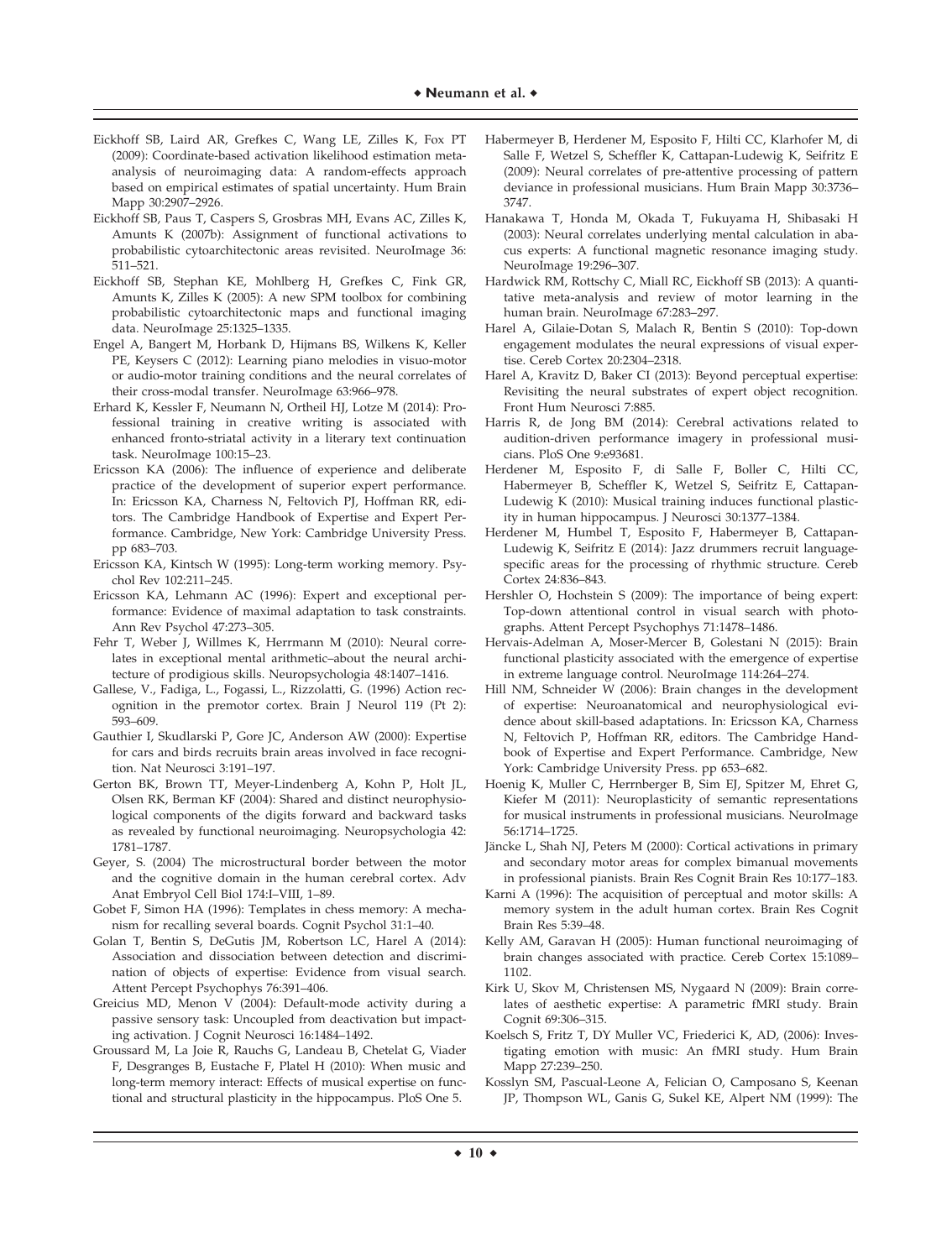- Eickhoff SB, Laird AR, Grefkes C, Wang LE, Zilles K, Fox PT (2009): Coordinate-based activation likelihood estimation metaanalysis of neuroimaging data: A random-effects approach based on empirical estimates of spatial uncertainty. Hum Brain Mapp 30:2907–2926.
- Eickhoff SB, Paus T, Caspers S, Grosbras MH, Evans AC, Zilles K, Amunts K (2007b): Assignment of functional activations to probabilistic cytoarchitectonic areas revisited. NeuroImage 36: 511–521.
- Eickhoff SB, Stephan KE, Mohlberg H, Grefkes C, Fink GR, Amunts K, Zilles K (2005): A new SPM toolbox for combining probabilistic cytoarchitectonic maps and functional imaging data. NeuroImage 25:1325–1335.
- Engel A, Bangert M, Horbank D, Hijmans BS, Wilkens K, Keller PE, Keysers C (2012): Learning piano melodies in visuo-motor or audio-motor training conditions and the neural correlates of their cross-modal transfer. NeuroImage 63:966–978.
- Erhard K, Kessler F, Neumann N, Ortheil HJ, Lotze M (2014): Professional training in creative writing is associated with enhanced fronto-striatal activity in a literary text continuation task. NeuroImage 100:15–23.
- Ericsson KA (2006): The influence of experience and deliberate practice of the development of superior expert performance. In: Ericsson KA, Charness N, Feltovich PJ, Hoffman RR, editors. The Cambridge Handbook of Expertise and Expert Performance. Cambridge, New York: Cambridge University Press. pp 683–703.
- Ericsson KA, Kintsch W (1995): Long-term working memory. Psychol Rev 102:211–245.
- Ericsson KA, Lehmann AC (1996): Expert and exceptional performance: Evidence of maximal adaptation to task constraints. Ann Rev Psychol 47:273–305.
- Fehr T, Weber J, Willmes K, Herrmann M (2010): Neural correlates in exceptional mental arithmetic–about the neural architecture of prodigious skills. Neuropsychologia 48:1407–1416.
- Gallese, V., Fadiga, L., Fogassi, L., Rizzolatti, G. (1996) Action recognition in the premotor cortex. Brain J Neurol 119 (Pt 2): 593–609.
- Gauthier I, Skudlarski P, Gore JC, Anderson AW (2000): Expertise for cars and birds recruits brain areas involved in face recognition. Nat Neurosci 3:191–197.
- Gerton BK, Brown TT, Meyer-Lindenberg A, Kohn P, Holt JL, Olsen RK, Berman KF (2004): Shared and distinct neurophysiological components of the digits forward and backward tasks as revealed by functional neuroimaging. Neuropsychologia 42: 1781–1787.
- Geyer, S. (2004) The microstructural border between the motor and the cognitive domain in the human cerebral cortex. Adv Anat Embryol Cell Biol 174:I–VIII, 1–89.
- Gobet F, Simon HA (1996): Templates in chess memory: A mechanism for recalling several boards. Cognit Psychol 31:1–40.
- Golan T, Bentin S, DeGutis JM, Robertson LC, Harel A (2014): Association and dissociation between detection and discrimination of objects of expertise: Evidence from visual search. Attent Percept Psychophys 76:391–406.
- Greicius MD, Menon V (2004): Default-mode activity during a passive sensory task: Uncoupled from deactivation but impacting activation. J Cognit Neurosci 16:1484–1492.
- Groussard M, La Joie R, Rauchs G, Landeau B, Chetelat G, Viader F, Desgranges B, Eustache F, Platel H (2010): When music and long-term memory interact: Effects of musical expertise on functional and structural plasticity in the hippocampus. PloS One 5.
- Habermeyer B, Herdener M, Esposito F, Hilti CC, Klarhofer M, di Salle F, Wetzel S, Scheffler K, Cattapan-Ludewig K, Seifritz E (2009): Neural correlates of pre-attentive processing of pattern deviance in professional musicians. Hum Brain Mapp 30:3736– 3747.
- Hanakawa T, Honda M, Okada T, Fukuyama H, Shibasaki H (2003): Neural correlates underlying mental calculation in abacus experts: A functional magnetic resonance imaging study. NeuroImage 19:296–307.
- Hardwick RM, Rottschy C, Miall RC, Eickhoff SB (2013): A quantitative meta-analysis and review of motor learning in the human brain. NeuroImage 67:283–297.
- Harel A, Gilaie-Dotan S, Malach R, Bentin S (2010): Top-down engagement modulates the neural expressions of visual expertise. Cereb Cortex 20:2304–2318.
- Harel A, Kravitz D, Baker CI (2013): Beyond perceptual expertise: Revisiting the neural substrates of expert object recognition. Front Hum Neurosci 7:885.
- Harris R, de Jong BM (2014): Cerebral activations related to audition-driven performance imagery in professional musicians. PloS One 9:e93681.
- Herdener M, Esposito F, di Salle F, Boller C, Hilti CC, Habermeyer B, Scheffler K, Wetzel S, Seifritz E, Cattapan-Ludewig K (2010): Musical training induces functional plasticity in human hippocampus. J Neurosci 30:1377–1384.
- Herdener M, Humbel T, Esposito F, Habermeyer B, Cattapan-Ludewig K, Seifritz E (2014): Jazz drummers recruit languagespecific areas for the processing of rhythmic structure. Cereb Cortex 24:836–843.
- Hershler O, Hochstein S (2009): The importance of being expert: Top-down attentional control in visual search with photographs. Attent Percept Psychophys 71:1478–1486.
- Hervais-Adelman A, Moser-Mercer B, Golestani N (2015): Brain functional plasticity associated with the emergence of expertise in extreme language control. NeuroImage 114:264–274.
- Hill NM, Schneider W (2006): Brain changes in the development of expertise: Neuroanatomical and neurophysiological evidence about skill-based adaptations. In: Ericsson KA, Charness N, Feltovich P, Hoffman RR, editors. The Cambridge Handbook of Expertise and Expert Performance. Cambridge, New York: Cambridge University Press. pp 653–682.
- Hoenig K, Muller C, Herrnberger B, Sim EJ, Spitzer M, Ehret G, Kiefer M (2011): Neuroplasticity of semantic representations for musical instruments in professional musicians. NeuroImage 56:1714–1725.
- Jäncke L, Shah NJ, Peters M (2000): Cortical activations in primary and secondary motor areas for complex bimanual movements in professional pianists. Brain Res Cognit Brain Res 10:177–183.
- Karni A (1996): The acquisition of perceptual and motor skills: A memory system in the adult human cortex. Brain Res Cognit Brain Res 5:39–48.
- Kelly AM, Garavan H (2005): Human functional neuroimaging of brain changes associated with practice. Cereb Cortex 15:1089– 1102.
- Kirk U, Skov M, Christensen MS, Nygaard N (2009): Brain correlates of aesthetic expertise: A parametric fMRI study. Brain Cognit 69:306–315.
- Koelsch S, Fritz T, DY Muller VC, Friederici K, AD, (2006): Investigating emotion with music: An fMRI study. Hum Brain Mapp 27:239–250.
- Kosslyn SM, Pascual-Leone A, Felician O, Camposano S, Keenan JP, Thompson WL, Ganis G, Sukel KE, Alpert NM (1999): The